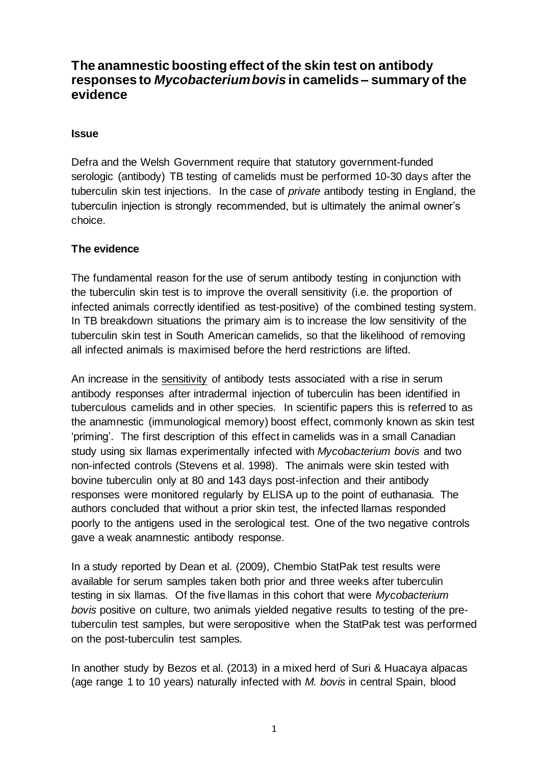# **The anamnestic boosting effect of the skin test on antibody responses to** *Mycobacterium bovis* **in camelids – summary of the evidence**

#### **Issue**

Defra and the Welsh Government require that statutory government-funded serologic (antibody) TB testing of camelids must be performed 10-30 days after the tuberculin skin test injections. In the case of *private* antibody testing in England, the tuberculin injection is strongly recommended, but is ultimately the animal owner's choice.

### **The evidence**

The fundamental reason for the use of serum antibody testing in conjunction with the tuberculin skin test is to improve the overall sensitivity (i.e. the proportion of infected animals correctly identified as test-positive) of the combined testing system. In TB breakdown situations the primary aim is to increase the low sensitivity of the tuberculin skin test in South American camelids, so that the likelihood of removing all infected animals is maximised before the herd restrictions are lifted.

An increase in the sensitivity of antibody tests associated with a rise in serum antibody responses after intradermal injection of tuberculin has been identified in tuberculous camelids and in other species. In scientific papers this is referred to as the anamnestic (immunological memory) boost effect, commonly known as skin test 'priming'. The first description of this effect in camelids was in a small Canadian study using six llamas experimentally infected with *Mycobacterium bovis* and two non-infected controls (Stevens et al. 1998). The animals were skin tested with bovine tuberculin only at 80 and 143 days post-infection and their antibody responses were monitored regularly by ELISA up to the point of euthanasia. The authors concluded that without a prior skin test, the infected llamas responded poorly to the antigens used in the serological test. One of the two negative controls gave a weak anamnestic antibody response.

In a study reported by Dean et al. (2009), Chembio StatPak test results were available for serum samples taken both prior and three weeks after tuberculin testing in six llamas. Of the five llamas in this cohort that were *Mycobacterium bovis* positive on culture, two animals yielded negative results to testing of the pretuberculin test samples, but were seropositive when the StatPak test was performed on the post-tuberculin test samples.

In another study by Bezos et al. (2013) in a mixed herd of Suri & Huacaya alpacas (age range 1 to 10 years) naturally infected with *M. bovis* in central Spain, blood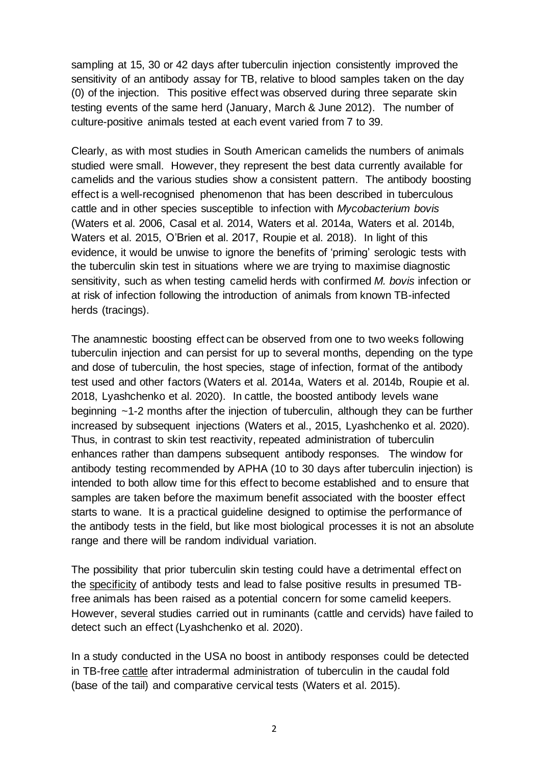sampling at 15, 30 or 42 days after tuberculin injection consistently improved the sensitivity of an antibody assay for TB, relative to blood samples taken on the day (0) of the injection. This positive effect was observed during three separate skin testing events of the same herd (January, March & June 2012). The number of culture-positive animals tested at each event varied from 7 to 39.

Clearly, as with most studies in South American camelids the numbers of animals studied were small. However, they represent the best data currently available for camelids and the various studies show a consistent pattern. The antibody boosting effect is a well-recognised phenomenon that has been described in tuberculous cattle and in other species susceptible to infection with *Mycobacterium bovis* (Waters et al. 2006, Casal et al. 2014, Waters et al. 2014a, Waters et al. 2014b, Waters et al. 2015, O'Brien et al. 2017, Roupie et al. 2018). In light of this evidence, it would be unwise to ignore the benefits of 'priming' serologic tests with the tuberculin skin test in situations where we are trying to maximise diagnostic sensitivity, such as when testing camelid herds with confirmed *M. bovis* infection or at risk of infection following the introduction of animals from known TB-infected herds (tracings).

The anamnestic boosting effect can be observed from one to two weeks following tuberculin injection and can persist for up to several months, depending on the type and dose of tuberculin, the host species, stage of infection, format of the antibody test used and other factors (Waters et al. 2014a, Waters et al. 2014b, Roupie et al. 2018, Lyashchenko et al. 2020). In cattle, the boosted antibody levels wane beginning ~1-2 months after the injection of tuberculin, although they can be further increased by subsequent injections (Waters et al., 2015, Lyashchenko et al. 2020). Thus, in contrast to skin test reactivity, repeated administration of tuberculin enhances rather than dampens subsequent antibody responses. The window for antibody testing recommended by APHA (10 to 30 days after tuberculin injection) is intended to both allow time for this effect to become established and to ensure that samples are taken before the maximum benefit associated with the booster effect starts to wane. It is a practical guideline designed to optimise the performance of the antibody tests in the field, but like most biological processes it is not an absolute range and there will be random individual variation.

The possibility that prior tuberculin skin testing could have a detrimental effect on the specificity of antibody tests and lead to false positive results in presumed TBfree animals has been raised as a potential concern for some camelid keepers. However, several studies carried out in ruminants (cattle and cervids) have failed to detect such an effect (Lyashchenko et al. 2020).

In a study conducted in the USA no boost in antibody responses could be detected in TB-free cattle after intradermal administration of tuberculin in the caudal fold (base of the tail) and comparative cervical tests (Waters et al. 2015).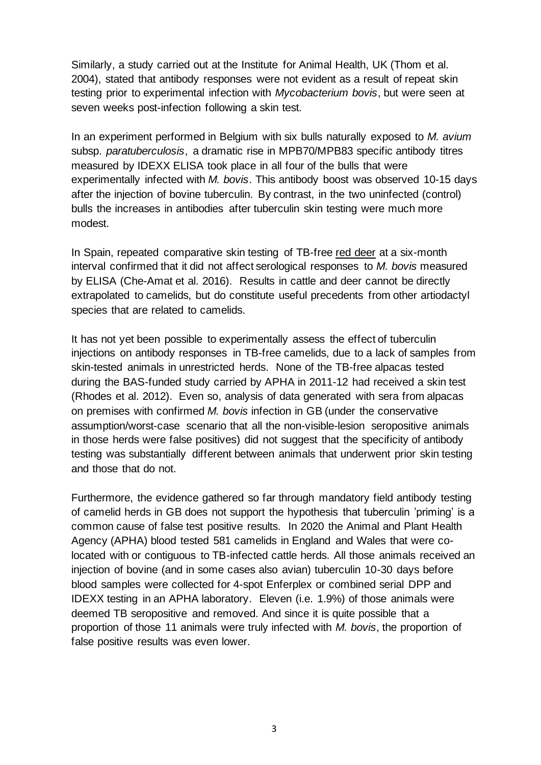Similarly, a study carried out at the Institute for Animal Health, UK (Thom et al. 2004), stated that antibody responses were not evident as a result of repeat skin testing prior to experimental infection with *Mycobacterium bovis*, but were seen at seven weeks post-infection following a skin test.

In an experiment performed in Belgium with six bulls naturally exposed to *M. avium* subsp. *paratuberculosis*, a dramatic rise in MPB70/MPB83 specific antibody titres measured by IDEXX ELISA took place in all four of the bulls that were experimentally infected with *M. bovis*. This antibody boost was observed 10-15 days after the injection of bovine tuberculin. By contrast, in the two uninfected (control) bulls the increases in antibodies after tuberculin skin testing were much more modest.

In Spain, repeated comparative skin testing of TB-free red deer at a six-month interval confirmed that it did not affect serological responses to *M. bovis* measured by ELISA (Che-Amat et al. 2016). Results in cattle and deer cannot be directly extrapolated to camelids, but do constitute useful precedents from other artiodactyl species that are related to camelids.

It has not yet been possible to experimentally assess the effect of tuberculin injections on antibody responses in TB-free camelids, due to a lack of samples from skin-tested animals in unrestricted herds. None of the TB-free alpacas tested during the BAS-funded study carried by APHA in 2011-12 had received a skin test (Rhodes et al. 2012). Even so, analysis of data generated with sera from alpacas on premises with confirmed *M. bovis* infection in GB (under the conservative assumption/worst-case scenario that all the non-visible-lesion seropositive animals in those herds were false positives) did not suggest that the specificity of antibody testing was substantially different between animals that underwent prior skin testing and those that do not.

Furthermore, the evidence gathered so far through mandatory field antibody testing of camelid herds in GB does not support the hypothesis that tuberculin 'priming' is a common cause of false test positive results. In 2020 the Animal and Plant Health Agency (APHA) blood tested 581 camelids in England and Wales that were colocated with or contiguous to TB-infected cattle herds. All those animals received an injection of bovine (and in some cases also avian) tuberculin 10-30 days before blood samples were collected for 4-spot Enferplex or combined serial DPP and IDEXX testing in an APHA laboratory. Eleven (i.e. 1.9%) of those animals were deemed TB seropositive and removed. And since it is quite possible that a proportion of those 11 animals were truly infected with *M. bovis*, the proportion of false positive results was even lower.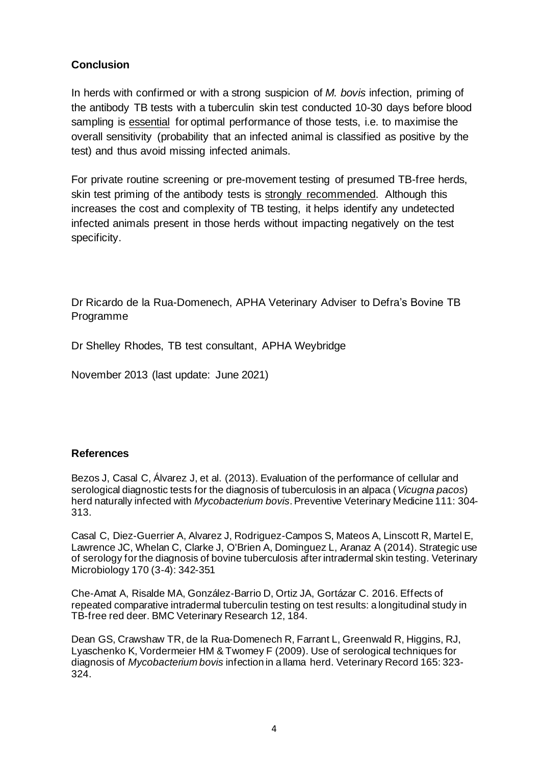## **Conclusion**

In herds with confirmed or with a strong suspicion of *M. bovis* infection, priming of the antibody TB tests with a tuberculin skin test conducted 10-30 days before blood sampling is essential for optimal performance of those tests, i.e. to maximise the overall sensitivity (probability that an infected animal is classified as positive by the test) and thus avoid missing infected animals.

For private routine screening or pre-movement testing of presumed TB-free herds, skin test priming of the antibody tests is strongly recommended. Although this increases the cost and complexity of TB testing, it helps identify any undetected infected animals present in those herds without impacting negatively on the test specificity.

Dr Ricardo de la Rua-Domenech, APHA Veterinary Adviser to Defra's Bovine TB Programme

Dr Shelley Rhodes, TB test consultant, APHA Weybridge

November 2013 (last update: June 2021)

### **References**

Bezos J, Casal C, Álvarez J, et al. (2013). Evaluation of the performance of cellular and serological diagnostic tests for the diagnosis of tuberculosis in an alpaca (*Vicugna pacos*) herd naturally infected with *Mycobacterium bovis*. Preventive Veterinary Medicine 111: 304- 313.

Casal C, Diez-Guerrier A, Alvarez J, Rodriguez-Campos S, Mateos A, Linscott R, Martel E, Lawrence JC, Whelan C, Clarke J, O'Brien A, Dominguez L, Aranaz A (2014). Strategic use of serology for the diagnosis of bovine tuberculosis after intradermal skin testing. Veterinary Microbiology 170 (3-4): 342-351

Che-Amat A, Risalde MA, González-Barrio D, Ortiz JA, Gortázar C. 2016. Effects of repeated comparative intradermal tuberculin testing on test results: a longitudinal study in TB-free red deer. BMC Veterinary Research 12, 184.

Dean GS, Crawshaw TR, de la Rua-Domenech R, Farrant L, Greenwald R, Higgins, RJ, Lyaschenko K, Vordermeier HM & Twomey F (2009). Use of serological techniques for diagnosis of *Mycobacterium bovis* infection in a llama herd. Veterinary Record 165: 323- 324.